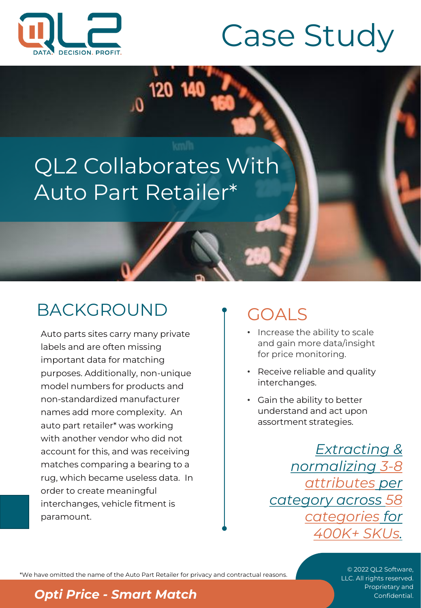

# Case Study

# QL2 Collaborates With Auto Part Retailer\*

120 14

# BACKGROUND

Auto parts sites carry many private labels and are often missing important data for matching purposes. Additionally, non-unique model numbers for products and non-standardized manufacturer names add more complexity. An auto part retailer\* was working with another vendor who did not account for this, and was receiving matches comparing a bearing to a rug, which became useless data. In order to create meaningful interchanges, vehicle fitment is paramount.

# GOALS

- Increase the ability to scale and gain more data/insight for price monitoring.
- Receive reliable and quality interchanges.
- Gain the ability to better understand and act upon assortment strategies.

*Extracting & normalizing 3-8 attributes per category across 58 categories for 400K+ SKUs.*

\*We have omitted the name of the Auto Part Retailer for privacy and contractual reasons.

© 2022 QL2 Software, LLC. All rights reserved.

#### **Proprietary and** *Price - Smart Match* Confidential.